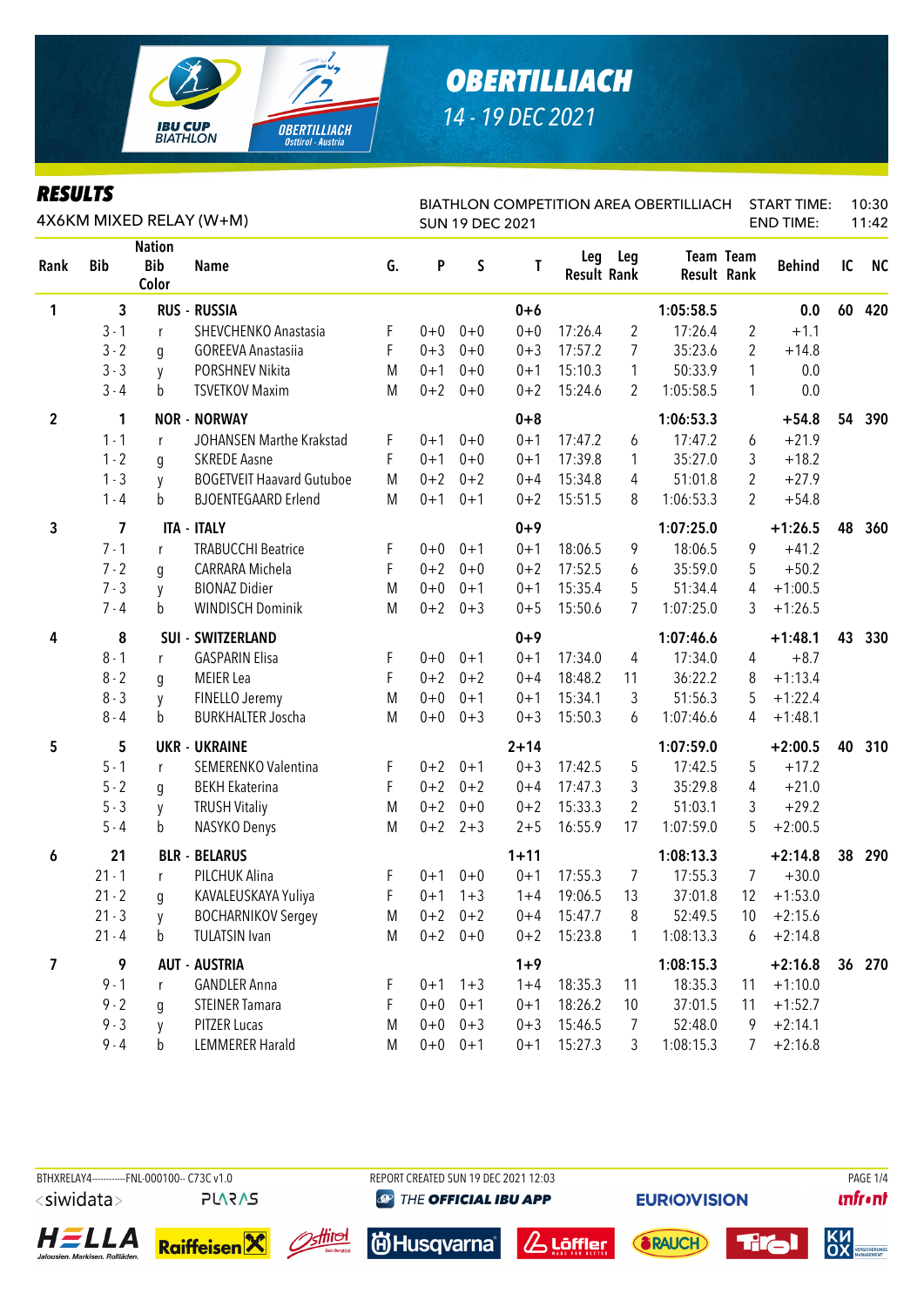

| KEYULIY        |                         |                                      | 4X6KM MIXED RELAY (W+M)          |    |         | <b>SUN 19 DEC 2021</b> |          |                           |                | <b>BIATHLON COMPETITION AREA OBERTILLIACH</b> |                  | <b>START TIME:</b><br><b>END TIME:</b> |    | 10:30<br>11:42 |
|----------------|-------------------------|--------------------------------------|----------------------------------|----|---------|------------------------|----------|---------------------------|----------------|-----------------------------------------------|------------------|----------------------------------------|----|----------------|
| Rank           | <b>Bib</b>              | <b>Nation</b><br><b>Bib</b><br>Color | <b>Name</b>                      | G. | P       | $\sf S$                | T        | Leg<br><b>Result Rank</b> | Leg            | <b>Result Rank</b>                            | <b>Team Team</b> | <b>Behind</b>                          | IC | <b>NC</b>      |
| 1              | 3                       |                                      | <b>RUS - RUSSIA</b>              |    |         |                        | $0 + 6$  |                           |                | 1:05:58.5                                     |                  | 0.0                                    | 60 | 420            |
|                | $3 - 1$                 | r                                    | SHEVCHENKO Anastasia             | F  | $0 + 0$ | $0+0$                  | $0 + 0$  | 17:26.4                   | $\overline{2}$ | 17:26.4                                       | $\overline{2}$   | $+1.1$                                 |    |                |
|                | $3 - 2$                 | q                                    | <b>GOREEVA Anastasiia</b>        | F  | $0 + 3$ | $0 + 0$                | $0 + 3$  | 17:57.2                   | $\overline{7}$ | 35:23.6                                       | $\overline{2}$   | $+14.8$                                |    |                |
|                | $3 - 3$                 | y                                    | PORSHNEV Nikita                  | M  | $0 + 1$ | $0+0$                  | $0 + 1$  | 15:10.3                   | $\mathbf{1}$   | 50:33.9                                       | 1                | 0.0                                    |    |                |
|                | $3 - 4$                 | b                                    | <b>TSVETKOV Maxim</b>            | M  | $0 + 2$ | $0+0$                  | $0 + 2$  | 15:24.6                   | 2              | 1:05:58.5                                     | 1                | 0.0                                    |    |                |
| $\overline{2}$ | 1                       |                                      | <b>NOR - NORWAY</b>              |    |         |                        | $0 + 8$  |                           |                | 1:06:53.3                                     |                  | $+54.8$                                | 54 | 390            |
|                | $1 - 1$                 | r                                    | JOHANSEN Marthe Krakstad         | F  | $0 + 1$ | $0 + 0$                | $0 + 1$  | 17:47.2                   | 6              | 17:47.2                                       | 6                | $+21.9$                                |    |                |
|                | $1 - 2$                 | g                                    | <b>SKREDE Aasne</b>              | F  | $0 + 1$ | $0 + 0$                | $0 + 1$  | 17:39.8                   | $\mathbf{1}$   | 35:27.0                                       | 3                | $+18.2$                                |    |                |
|                | $1 - 3$                 | y                                    | <b>BOGETVEIT Haavard Gutuboe</b> | M  | $0 + 2$ | $0 + 2$                | $0 + 4$  | 15:34.8                   | 4              | 51:01.8                                       | $\overline{2}$   | $+27.9$                                |    |                |
|                | $1 - 4$                 | b                                    | <b>BJOENTEGAARD Erlend</b>       | M  | $0 + 1$ | $0 + 1$                | $0 + 2$  | 15:51.5                   | 8              | 1:06:53.3                                     | 2                | $+54.8$                                |    |                |
| 3              | $\overline{\mathbf{z}}$ |                                      | <b>ITA - ITALY</b>               |    |         |                        | $0 + 9$  |                           |                | 1:07:25.0                                     |                  | $+1:26.5$                              | 48 | 360            |
|                | $7 - 1$                 | r                                    | <b>TRABUCCHI Beatrice</b>        | F  | $0 + 0$ | $0 + 1$                | $0 + 1$  | 18:06.5                   | 9              | 18:06.5                                       | 9                | $+41.2$                                |    |                |
|                | $7 - 2$                 | g                                    | CARRARA Michela                  | F  | $0 + 2$ | $0 + 0$                | $0 + 2$  | 17:52.5                   | 6              | 35:59.0                                       | 5                | $+50.2$                                |    |                |
|                | $7 - 3$                 | y                                    | <b>BIONAZ Didier</b>             | M  | $0 + 0$ | $0 + 1$                | $0 + 1$  | 15:35.4                   | 5              | 51:34.4                                       | 4                | $+1:00.5$                              |    |                |
|                | $7 - 4$                 | b                                    | <b>WINDISCH Dominik</b>          | M  | $0 + 2$ | $0 + 3$                | $0 + 5$  | 15:50.6                   | $\overline{7}$ | 1:07:25.0                                     | 3                | $+1:26.5$                              |    |                |
| 4              | 8                       |                                      | <b>SUI - SWITZERLAND</b>         |    |         |                        | $0 + 9$  |                           |                | 1:07:46.6                                     |                  | $+1:48.1$                              | 43 | 330            |
|                | $8 - 1$                 | r                                    | <b>GASPARIN Elisa</b>            | F  | $0+0$   | $0 + 1$                | $0 + 1$  | 17:34.0                   | 4              | 17:34.0                                       | 4                | $+8.7$                                 |    |                |
|                | $8 - 2$                 | g                                    | <b>MEIER</b> Lea                 | F  | $0 + 2$ | $0 + 2$                | $0 + 4$  | 18:48.2                   | 11             | 36:22.2                                       | 8                | $+1:13.4$                              |    |                |
|                | $8 - 3$                 | y                                    | FINELLO Jeremy                   | M  | $0 + 0$ | $0 + 1$                | $0 + 1$  | 15:34.1                   | 3              | 51:56.3                                       | 5                | $+1:22.4$                              |    |                |
|                | $8 - 4$                 | b                                    | <b>BURKHALTER Joscha</b>         | M  | $0 + 0$ | $0 + 3$                | $0 + 3$  | 15:50.3                   | 6              | 1:07:46.6                                     | 4                | $+1:48.1$                              |    |                |
| 5              | 5                       |                                      | <b>UKR - UKRAINE</b>             |    |         |                        | $2 + 14$ |                           |                | 1:07:59.0                                     |                  | $+2:00.5$                              | 40 | 310            |
|                | $5 - 1$                 | r                                    | SEMERENKO Valentina              | F  | $0 + 2$ | $0 + 1$                | $0 + 3$  | 17:42.5                   | 5              | 17:42.5                                       | 5                | $+17.2$                                |    |                |
|                | $5 - 2$                 | g                                    | <b>BEKH Ekaterina</b>            | F  | $0 + 2$ | $0 + 2$                | $0 + 4$  | 17:47.3                   | 3              | 35:29.8                                       | 4                | $+21.0$                                |    |                |
|                | $5 - 3$                 | y                                    | <b>TRUSH Vitaliy</b>             | M  | $0 + 2$ | $0 + 0$                | $0 + 2$  | 15:33.3                   | 2              | 51:03.1                                       | 3                | $+29.2$                                |    |                |
|                | $5 - 4$                 | b                                    | NASYKO Denys                     | M  |         | $0+2$ 2+3              | $2 + 5$  | 16:55.9                   | 17             | 1:07:59.0                                     | 5                | $+2:00.5$                              |    |                |
| 6              | 21                      |                                      | <b>BLR - BELARUS</b>             |    |         |                        | $1 + 11$ |                           |                | 1:08:13.3                                     |                  | $+2:14.8$                              | 38 | 290            |
|                | $21 - 1$                | r                                    | PILCHUK Alina                    | F. | $0 + 1$ | $0 + 0$                | $0 + 1$  | 17:55.3                   | 7              | 17:55.3                                       | $7^{\circ}$      | $+30.0$                                |    |                |
|                | $21 - 2$                | g                                    | KAVALEUSKAYA Yuliya              | F  |         | $0+1$ 1+3              | $1 + 4$  | 19:06.5                   | 13             | 37:01.8                                       | 12               | $+1:53.0$                              |    |                |
|                | $21 - 3$                | y                                    | <b>BOCHARNIKOV Sergey</b>        | M  | $0 + 2$ | $0 + 2$                | $0 + 4$  | 15:47.7                   | 8              | 52:49.5                                       | 10               | $+2:15.6$                              |    |                |
|                | $21 - 4$                | b                                    | <b>TULATSIN Ivan</b>             | M  |         | $0+2$ 0+0              | $0 + 2$  | 15:23.8                   | $\mathbf{1}$   | 1:08:13.3                                     | 6                | $+2:14.8$                              |    |                |
| 7              | 9                       |                                      | <b>AUT - AUSTRIA</b>             |    |         |                        | $1 + 9$  |                           |                | 1:08:15.3                                     |                  | $+2:16.8$                              |    | 36 270         |
|                | $9 - 1$                 | r                                    | <b>GANDLER Anna</b>              | F  |         | $0+1$ 1+3              | $1 + 4$  | 18:35.3                   | 11             | 18:35.3                                       | 11               | $+1:10.0$                              |    |                |
|                | $9 - 2$                 | q                                    | <b>STEINER Tamara</b>            | F  | $0 + 0$ | $0 + 1$                | $0 + 1$  | 18:26.2                   | 10             | 37:01.5                                       | 11               | $+1:52.7$                              |    |                |
|                | $9 - 3$                 | V                                    | PITZER Lucas                     | M  | $0 + 0$ | $0 + 3$                | $0 + 3$  | 15:46.5                   | 7              | 52:48.0                                       | 9                | $+2:14.1$                              |    |                |
|                | $9 - 4$                 | b                                    | <b>LEMMERER Harald</b>           | M  | $0+0$   | $0 + 1$                | $0 + 1$  | 15:27.3                   | 3              | 1:08:15.3                                     | 7                | $+2:16.8$                              |    |                |

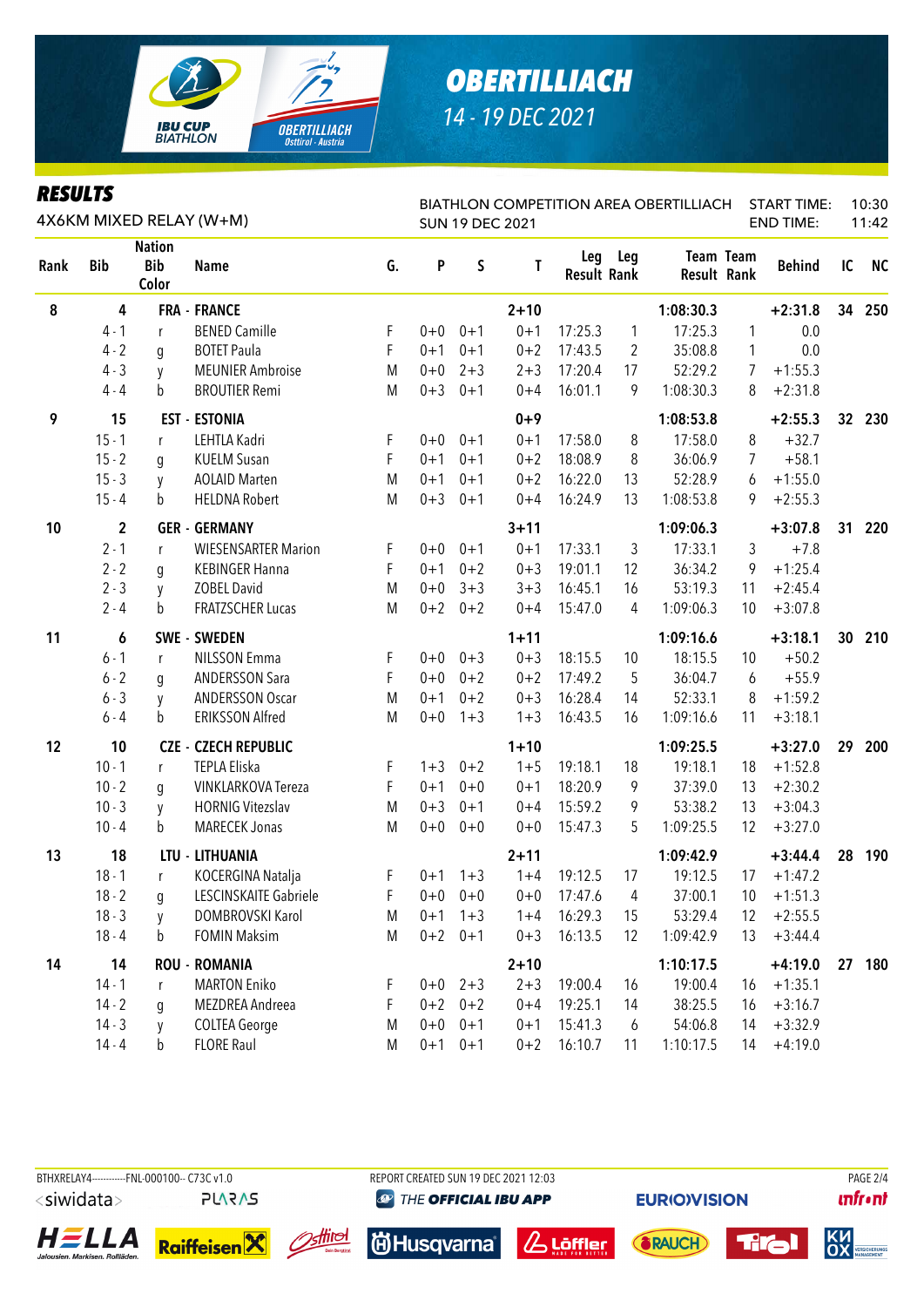

|      |             |                                      | 4X6KM MIXED RELAY (W+M)     |    |         | <b>SUN 19 DEC 2021</b> |          |                           |                | BIATHLON COMPETITION AREA OBERTILLIACH |           | START TIME:<br><b>END TIME:</b> |                 | 10:30<br>11:42 |
|------|-------------|--------------------------------------|-----------------------------|----|---------|------------------------|----------|---------------------------|----------------|----------------------------------------|-----------|---------------------------------|-----------------|----------------|
| Rank | <b>Bib</b>  | <b>Nation</b><br><b>Bib</b><br>Color | <b>Name</b>                 | G. | P       | $\sf S$                | T        | Leg<br><b>Result Rank</b> | Leg            | <b>Result Rank</b>                     | Team Team | <b>Behind</b>                   | IC              | <b>NC</b>      |
| 8    | 4           |                                      | <b>FRA - FRANCE</b>         |    |         |                        | $2 + 10$ |                           |                | 1:08:30.3                              |           | $+2:31.8$                       |                 | 34 250         |
|      | $4 - 1$     | r                                    | <b>BENED Camille</b>        | F  | $0 + 0$ | $0 + 1$                | $0 + 1$  | 17:25.3                   | $\mathbf{1}$   | 17:25.3                                | 1         | 0.0                             |                 |                |
|      | $4 - 2$     | g                                    | <b>BOTET Paula</b>          | F  | $0 + 1$ | $0 + 1$                | $0 + 2$  | 17:43.5                   | 2              | 35:08.8                                | 1         | 0.0                             |                 |                |
|      | $4 - 3$     | y                                    | <b>MEUNIER Ambroise</b>     | M  | $0 + 0$ | $2 + 3$                | $2 + 3$  | 17:20.4                   | 17             | 52:29.2                                | 7         | $+1:55.3$                       |                 |                |
|      | $4 - 4$     | b                                    | <b>BROUTIER Remi</b>        | M  | $0 + 3$ | $0 + 1$                | $0 + 4$  | 16:01.1                   | 9              | 1:08:30.3                              | 8         | $+2:31.8$                       |                 |                |
| 9    | 15          |                                      | <b>EST - ESTONIA</b>        |    |         |                        | $0 + 9$  |                           |                | 1:08:53.8                              |           | $+2:55.3$                       |                 | 32 230         |
|      | $15 - 1$    | r                                    | LEHTLA Kadri                | F  | $0 + 0$ | $0 + 1$                | $0 + 1$  | 17:58.0                   | 8              | 17:58.0                                | 8         | $+32.7$                         |                 |                |
|      | $15 - 2$    | q                                    | <b>KUELM Susan</b>          | F  | $0 + 1$ | $0 + 1$                | $0 + 2$  | 18:08.9                   | 8              | 36:06.9                                | 7         | $+58.1$                         |                 |                |
|      | $15 - 3$    | y                                    | <b>AOLAID Marten</b>        | M  | $0 + 1$ | $0 + 1$                | $0 + 2$  | 16:22.0                   | 13             | 52:28.9                                | 6         | $+1:55.0$                       |                 |                |
|      | $15 - 4$    | b                                    | <b>HELDNA Robert</b>        | M  | $0 + 3$ | $0 + 1$                | $0 + 4$  | 16:24.9                   | 13             | 1:08:53.8                              | 9         | $+2:55.3$                       |                 |                |
| 10   | $\mathbf 2$ |                                      | <b>GER - GERMANY</b>        |    |         |                        | $3 + 11$ |                           |                | 1:09:06.3                              |           | $+3:07.8$                       | 31              | 220            |
|      | $2 - 1$     | r                                    | <b>WIESENSARTER Marion</b>  | F  | $0 + 0$ | $0 + 1$                | $0 + 1$  | 17:33.1                   | 3              | 17:33.1                                | 3         | $+7.8$                          |                 |                |
|      | $2 - 2$     | g                                    | <b>KEBINGER Hanna</b>       | F  | $0 + 1$ | $0 + 2$                | $0 + 3$  | 19:01.1                   | 12             | 36:34.2                                | 9         | $+1:25.4$                       |                 |                |
|      | $2 - 3$     | y                                    | <b>ZOBEL David</b>          | M  | $0 + 0$ | $3 + 3$                | $3 + 3$  | 16:45.1                   | 16             | 53:19.3                                | 11        | $+2:45.4$                       |                 |                |
|      | $2 - 4$     | b                                    | <b>FRATZSCHER Lucas</b>     | M  | $0 + 2$ | $0 + 2$                | $0 + 4$  | 15:47.0                   | 4              | 1:09:06.3                              | 10        | $+3:07.8$                       |                 |                |
| 11   | 6           |                                      | <b>SWE - SWEDEN</b>         |    |         |                        | $1 + 11$ |                           |                | 1:09:16.6                              |           | $+3:18.1$                       | 30 <sub>2</sub> | 210            |
|      | $6 - 1$     | r                                    | <b>NILSSON Emma</b>         | F  | $0 + 0$ | $0 + 3$                | $0 + 3$  | 18:15.5                   | 10             | 18:15.5                                | 10        | $+50.2$                         |                 |                |
|      | $6 - 2$     | q                                    | <b>ANDERSSON Sara</b>       | F  | $0 + 0$ | $0 + 2$                | $0 + 2$  | 17:49.2                   | 5              | 36:04.7                                | 6         | $+55.9$                         |                 |                |
|      | $6 - 3$     | y                                    | <b>ANDERSSON Oscar</b>      | M  | $0 + 1$ | $0 + 2$                | $0 + 3$  | 16:28.4                   | 14             | 52:33.1                                | 8         | $+1:59.2$                       |                 |                |
|      | $6 - 4$     | b                                    | <b>ERIKSSON Alfred</b>      | M  | $0 + 0$ | $1 + 3$                | $1 + 3$  | 16:43.5                   | 16             | 1:09:16.6                              | 11        | $+3:18.1$                       |                 |                |
| 12   | 10          |                                      | <b>CZE - CZECH REPUBLIC</b> |    |         |                        | $1 + 10$ |                           |                | 1:09:25.5                              |           | $+3:27.0$                       | 29              | 200            |
|      | $10 - 1$    | r                                    | <b>TEPLA Eliska</b>         | F  | $1 + 3$ | $0 + 2$                | $1 + 5$  | 19:18.1                   | 18             | 19:18.1                                | 18        | $+1:52.8$                       |                 |                |
|      | $10 - 2$    | q                                    | VINKLARKOVA Tereza          | F  | $0 + 1$ | $0 + 0$                | $0 + 1$  | 18:20.9                   | 9              | 37:39.0                                | 13        | $+2:30.2$                       |                 |                |
|      | $10 - 3$    | y                                    | <b>HORNIG Vitezslav</b>     | M  | $0 + 3$ | $0 + 1$                | $0 + 4$  | 15:59.2                   | 9              | 53:38.2                                | 13        | $+3:04.3$                       |                 |                |
|      | $10 - 4$    | b                                    | <b>MARECEK Jonas</b>        | M  | $0 + 0$ | $0 + 0$                | $0 + 0$  | 15:47.3                   | 5              | 1:09:25.5                              | 12        | $+3:27.0$                       |                 |                |
| 13   | 18          |                                      | LTU - LITHUANIA             |    |         |                        | $2 + 11$ |                           |                | 1:09:42.9                              |           | $+3:44.4$                       | 28              | 190            |
|      | $18 - 1$    | r                                    | KOCERGINA Natalja           | F  |         | $0+1$ 1+3              | $1 + 4$  | 19:12.5                   | 17             | 19:12.5                                | 17        | $+1:47.2$                       |                 |                |
|      | $18 - 2$    | g                                    | LESCINSKAITE Gabriele       | F. |         | $0+0$ 0+0              | $0+0$    | 17:47.6                   | $\overline{4}$ | 37:00.1                                |           | $10 + 1:51.3$                   |                 |                |
|      | $18 - 3$    | V                                    | DOMBROVSKI Karol            | M  |         | $0+1$ 1+3              | $1 + 4$  | 16:29.3                   | 15             | 53:29.4                                | 12        | $+2:55.5$                       |                 |                |
|      | $18 - 4$    | b                                    | <b>FOMIN Maksim</b>         | M  |         | $0+2$ 0+1              | $0 + 3$  | 16:13.5                   | 12             | 1:09:42.9                              | 13        | $+3:44.4$                       |                 |                |
| 14   | 14          |                                      | <b>ROU - ROMANIA</b>        |    |         |                        | $2 + 10$ |                           |                | 1:10:17.5                              |           | $+4:19.0$                       | 27              | 180            |
|      | $14 - 1$    | r                                    | <b>MARTON Eniko</b>         | F  |         | $0+0$ 2+3              | $2 + 3$  | 19:00.4                   | 16             | 19:00.4                                | 16        | $+1:35.1$                       |                 |                |
|      | $14 - 2$    | q                                    | MEZDREA Andreea             | F  | $0 + 2$ | $0 + 2$                | $0 + 4$  | 19:25.1                   | 14             | 38:25.5                                | 16        | $+3:16.7$                       |                 |                |
|      | $14 - 3$    | y                                    | <b>COLTEA George</b>        | M  | $0+0$   | $0 + 1$                | $0 + 1$  | 15:41.3                   | 6              | 54:06.8                                | 14        | $+3:32.9$                       |                 |                |
|      | $14 - 4$    | b                                    | <b>FLORE Raul</b>           | M  |         | $0+1$ $0+1$            | $0 + 2$  | 16:10.7                   | 11             | 1:10:17.5                              | 14        | $+4:19.0$                       |                 |                |

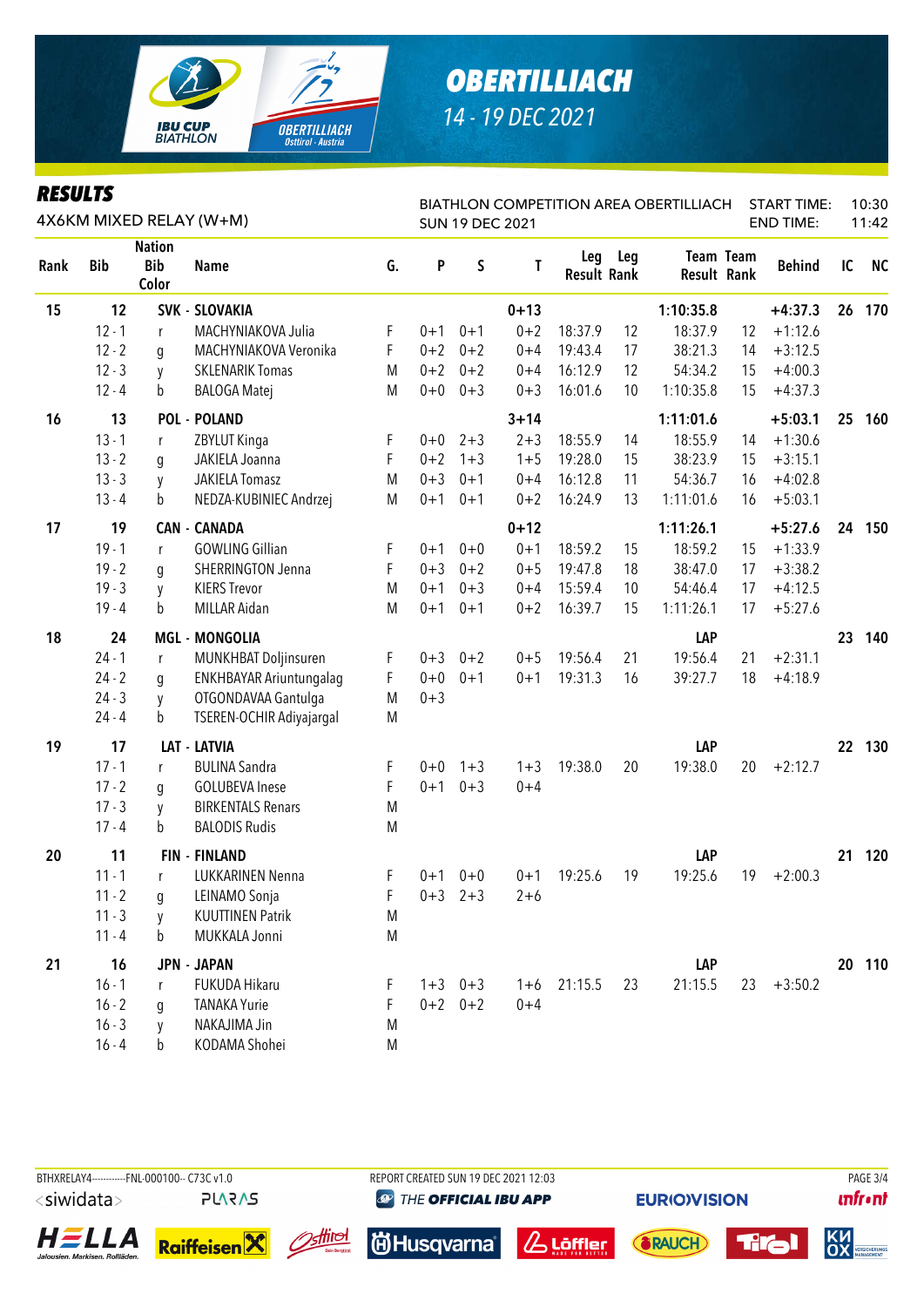

| <i>KESULIS</i> |            |                                      | 4X6KM MIXED RELAY (W+M)  |    |         |             | <b>SUN 19 DEC 2021</b> |                           |     | <b>BIATHLON COMPETITION AREA OBERTILLIACH</b> |                  | <b>START TIME:</b><br><b>END TIME:</b> |    | 10:30<br>11:42 |
|----------------|------------|--------------------------------------|--------------------------|----|---------|-------------|------------------------|---------------------------|-----|-----------------------------------------------|------------------|----------------------------------------|----|----------------|
| Rank           | <b>Bib</b> | <b>Nation</b><br><b>Bib</b><br>Color | <b>Name</b>              | G. | P       | $\sf S$     | Τ                      | Leg<br><b>Result Rank</b> | Leg | Result Rank                                   | <b>Team Team</b> | <b>Behind</b>                          | IC | <b>NC</b>      |
| 15             | 12         |                                      | <b>SVK - SLOVAKIA</b>    |    |         |             | $0 + 13$               |                           |     | 1:10:35.8                                     |                  | $+4:37.3$                              | 26 | 170            |
|                | $12 - 1$   | r                                    | MACHYNIAKOVA Julia       | F  | $0 + 1$ | $0 + 1$     | $0 + 2$                | 18:37.9                   | 12  | 18:37.9                                       | 12               | $+1:12.6$                              |    |                |
|                | $12 - 2$   | q                                    | MACHYNIAKOVA Veronika    | F  | $0 + 2$ | $0 + 2$     | $0 + 4$                | 19:43.4                   | 17  | 38:21.3                                       | 14               | $+3:12.5$                              |    |                |
|                | $12 - 3$   | y                                    | <b>SKLENARIK Tomas</b>   | M  | $0 + 2$ | $0 + 2$     | $0 + 4$                | 16:12.9                   | 12  | 54:34.2                                       | 15               | $+4:00.3$                              |    |                |
|                | $12 - 4$   | b                                    | <b>BALOGA Matej</b>      | M  | $0 + 0$ | $0 + 3$     | $0 + 3$                | 16:01.6                   | 10  | 1:10:35.8                                     | 15               | $+4:37.3$                              |    |                |
| 16             | 13         |                                      | <b>POL - POLAND</b>      |    |         |             | $3 + 14$               |                           |     | 1:11:01.6                                     |                  | $+5:03.1$                              | 25 | 160            |
|                | $13 - 1$   | r                                    | ZBYLUT Kinga             | F  | $0 + 0$ | $2 + 3$     | $2 + 3$                | 18:55.9                   | 14  | 18:55.9                                       | 14               | $+1:30.6$                              |    |                |
|                | $13 - 2$   | g                                    | JAKIELA Joanna           | F  | $0 + 2$ | $1 + 3$     | $1 + 5$                | 19:28.0                   | 15  | 38:23.9                                       | 15               | $+3:15.1$                              |    |                |
|                | $13 - 3$   | y                                    | <b>JAKIELA Tomasz</b>    | M  | $0 + 3$ | $0 + 1$     | $0 + 4$                | 16:12.8                   | 11  | 54:36.7                                       | 16               | $+4:02.8$                              |    |                |
|                | $13 - 4$   | b                                    | NEDZA-KUBINIEC Andrzej   | M  | $0 + 1$ | $0 + 1$     | $0 + 2$                | 16:24.9                   | 13  | 1:11:01.6                                     | 16               | $+5:03.1$                              |    |                |
| 17             | 19         |                                      | <b>CAN - CANADA</b>      |    |         |             | $0 + 12$               |                           |     | 1:11:26.1                                     |                  | $+5:27.6$                              |    | 24 150         |
|                | $19 - 1$   | r                                    | <b>GOWLING Gillian</b>   | F  | $0 + 1$ | $0 + 0$     | $0 + 1$                | 18:59.2                   | 15  | 18:59.2                                       | 15               | $+1:33.9$                              |    |                |
|                | $19 - 2$   | q                                    | <b>SHERRINGTON Jenna</b> | F  | $0 + 3$ | $0 + 2$     | $0 + 5$                | 19:47.8                   | 18  | 38:47.0                                       | 17               | $+3:38.2$                              |    |                |
|                | $19 - 3$   | y                                    | <b>KIERS Trevor</b>      | M  | $0 + 1$ | $0 + 3$     | $0 + 4$                | 15:59.4                   | 10  | 54:46.4                                       | 17               | $+4:12.5$                              |    |                |
|                | $19 - 4$   | b                                    | MILLAR Aidan             | M  | $0 + 1$ | $0 + 1$     | $0 + 2$                | 16:39.7                   | 15  | 1:11:26.1                                     | 17               | $+5:27.6$                              |    |                |
| 18             | 24         |                                      | <b>MGL - MONGOLIA</b>    |    |         |             |                        |                           |     | LAP                                           |                  |                                        | 23 | 140            |
|                | $24 - 1$   | r                                    | MUNKHBAT Doljinsuren     | F  | $0 + 3$ | $0 + 2$     | $0 + 5$                | 19:56.4                   | 21  | 19:56.4                                       | 21               | $+2:31.1$                              |    |                |
|                | $24 - 2$   | g                                    | ENKHBAYAR Ariuntungalag  | F  | $0 + 0$ | $0 + 1$     | $0 + 1$                | 19:31.3                   | 16  | 39:27.7                                       | 18               | $+4:18.9$                              |    |                |
|                | $24 - 3$   | y                                    | OTGONDAVAA Gantulga      | M  | $0 + 3$ |             |                        |                           |     |                                               |                  |                                        |    |                |
|                | $24 - 4$   | b                                    | TSEREN-OCHIR Adiyajargal | M  |         |             |                        |                           |     |                                               |                  |                                        |    |                |
| 19             | 17         |                                      | <b>LAT - LATVIA</b>      |    |         |             |                        |                           |     | LAP                                           |                  |                                        |    | 22 130         |
|                | $17 - 1$   | r                                    | <b>BULINA Sandra</b>     | F  | $0 + 0$ | $1 + 3$     | $1 + 3$                | 19:38.0                   | 20  | 19:38.0                                       | 20               | $+2:12.7$                              |    |                |
|                | $17 - 2$   | g                                    | <b>GOLUBEVA Inese</b>    | F  | $0 + 1$ | $0 + 3$     | $0 + 4$                |                           |     |                                               |                  |                                        |    |                |
|                | $17 - 3$   | y                                    | <b>BIRKENTALS Renars</b> | M  |         |             |                        |                           |     |                                               |                  |                                        |    |                |
|                | $17 - 4$   | b                                    | <b>BALODIS Rudis</b>     | M  |         |             |                        |                           |     |                                               |                  |                                        |    |                |
| 20             | 11         |                                      | <b>FIN - FINLAND</b>     |    |         |             |                        |                           |     | LAP                                           |                  |                                        | 21 | 120            |
|                | $11 - 1$   | r                                    | LUKKARINEN Nenna         | F  | $0 + 1$ | $0 + 0$     | $0 + 1$                | 19:25.6                   | 19  | 19:25.6                                       | 19               | $+2:00.3$                              |    |                |
|                | $11 - 2$   | g                                    | LEINAMO Sonja            | F  |         | $0+3$ 2+3   | $2 + 6$                |                           |     |                                               |                  |                                        |    |                |
|                | $11 - 3$   | V                                    | <b>KUUTTINEN Patrik</b>  | M  |         |             |                        |                           |     |                                               |                  |                                        |    |                |
|                | $11 - 4$   | b                                    | MUKKALA Jonni            | M  |         |             |                        |                           |     |                                               |                  |                                        |    |                |
| 21             | 16         |                                      | <b>JPN - JAPAN</b>       |    |         |             |                        |                           |     | LAP                                           |                  |                                        |    | 20 110         |
|                | $16 - 1$   | r                                    | FUKUDA Hikaru            | F  |         | $1+3$ 0+3   | $1 + 6$                | 21:15.5                   | 23  | 21:15.5                                       | 23               | $+3:50.2$                              |    |                |
|                | $16 - 2$   | g                                    | <b>TANAKA Yurie</b>      | F  |         | $0+2$ $0+2$ | $0 + 4$                |                           |     |                                               |                  |                                        |    |                |
|                | $16 - 3$   | y                                    | NAKAJIMA Jin             | M  |         |             |                        |                           |     |                                               |                  |                                        |    |                |
|                | $16 - 4$   | b                                    | KODAMA Shohei            | M  |         |             |                        |                           |     |                                               |                  |                                        |    |                |